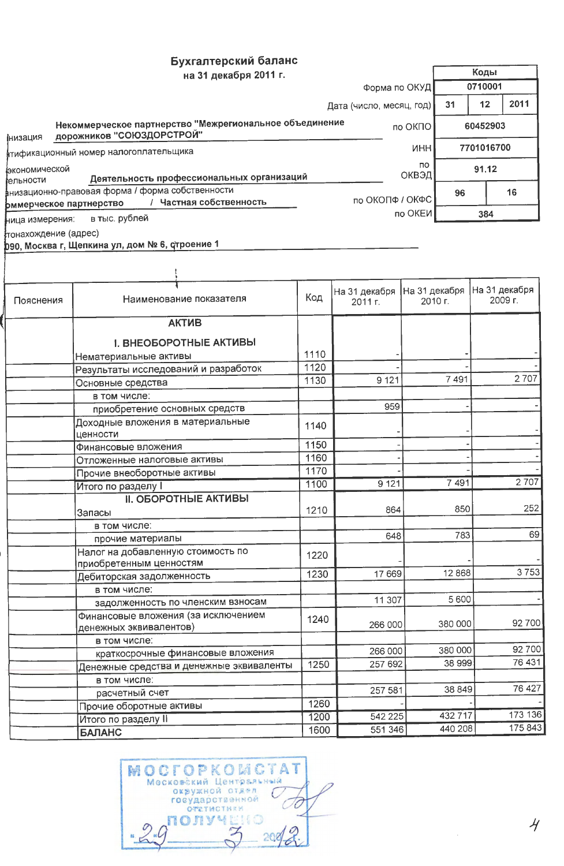## Бухгалтерский баланс

|                                    | на 31 декабря 2011 г.                                                                                |                          |    | Коды       |      |
|------------------------------------|------------------------------------------------------------------------------------------------------|--------------------------|----|------------|------|
|                                    |                                                                                                      | Форма по ОКУД            |    | 0710001    |      |
|                                    |                                                                                                      | Дата (число, месяц, год) | 31 | 12         | 2011 |
| інизация                           | Некоммерческое партнерство "Межрегиональное объединение<br>дорожников "СОЮЗДОРСТРОЙ"                 | no OK <sub>D</sub> O     |    | 60452903   |      |
|                                    | итификационный номер налогоплательщика                                                               | <b>MHH</b>               |    | 7701016700 |      |
| фкономической<br><b>г</b> ельности | Деятельность профессиональных организаций                                                            | <b>no</b><br>ОКВЭД       |    | 91.12      |      |
|                                    | анизационно-правовая форма / форма собственности<br>Частная собственность<br>рммерческое партнерство | по ОКОПФ / ОКФС          | 96 |            | 16   |
| ница измерения:                    | в тыс. рублей                                                                                        | по ОКЕИ <b> </b>         |    | 384        |      |

r

T

тонахождение (адрес)

1990, Москва г, Щепкина ул, дом № 6, строение 1

| Пояснения | Наименование показателя                                       | Код  | На 31 декабря<br>2011 г. | На 31 декабря<br>2010 г. | На 31 декабря<br>2009 г. |
|-----------|---------------------------------------------------------------|------|--------------------------|--------------------------|--------------------------|
|           | <b>АКТИВ</b>                                                  |      |                          |                          |                          |
|           | <b>I. ВНЕОБОРОТНЫЕ АКТИВЫ</b>                                 |      |                          |                          |                          |
|           | Нематериальные активы                                         | 1110 |                          |                          |                          |
|           | Результаты исследований и разработок                          | 1120 |                          |                          |                          |
|           | Основные средства                                             | 1130 | 9 1 2 1                  | 7491                     | 2707                     |
|           | в том числе:                                                  |      |                          |                          |                          |
|           | приобретение основных средств                                 |      | 959                      |                          |                          |
|           | Доходные вложения в материальные<br>ценности                  | 1140 |                          |                          |                          |
|           | Финансовые вложения                                           | 1150 |                          |                          |                          |
|           | Отложенные налоговые активы                                   | 1160 |                          |                          |                          |
|           | Прочие внеоборотные активы                                    | 1170 |                          |                          |                          |
|           | <b>Итого по разделу I</b>                                     | 1100 | 9121                     | 7491                     | 2707                     |
|           | <b>II. ОБОРОТНЫЕ АКТИВЫ</b>                                   |      |                          |                          |                          |
|           | Запасы                                                        | 1210 | 864                      | 850                      | 252                      |
|           | в том числе:                                                  |      |                          |                          |                          |
|           | прочие материалы                                              |      | 648                      | 783                      | 69                       |
|           | Налог на добавленную стоимость по<br>приобретенным ценностям  | 1220 |                          |                          |                          |
|           | Дебиторская задолженность                                     | 1230 | 17 669                   | 12 8 68                  | 3753                     |
|           | в том числе:                                                  |      |                          |                          |                          |
|           | задолженность по членским взносам                             |      | 11 307                   | 5600                     |                          |
|           | Финансовые вложения (за исключением<br>денежных эквивалентов) | 1240 | 266 000                  | 380 000                  | 92 700                   |
|           | в том числе:                                                  |      |                          |                          |                          |
|           | краткосрочные финансовые вложения                             |      | 266 000                  | 380 000                  | 92 700                   |
|           | Денежные средства и денежные эквиваленты                      | 1250 | 257 692                  | 38 999                   | 76 431                   |
|           | в том числе:                                                  |      |                          |                          |                          |
|           | расчетный счет                                                |      | 257 581                  | 38 849                   | 76 427                   |
|           | Прочие оборотные активы                                       | 1260 |                          |                          |                          |
|           | Итого по разделу II                                           | 1200 | 542 225                  | 432717                   | 173 136                  |
|           | <b>БАЛАНС</b>                                                 | 1600 | 551 346                  | 440 208                  | 175 843                  |

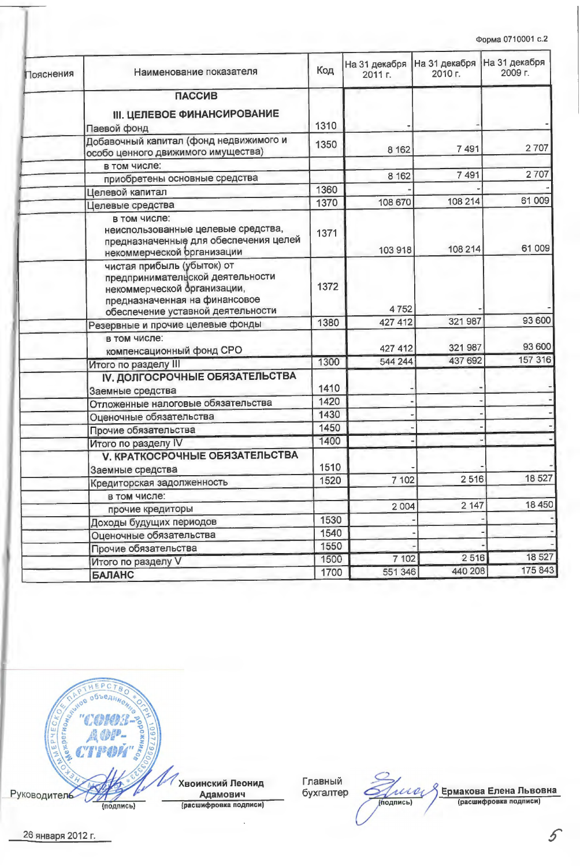| Пояснения | Наименование показателя                                                                                                                                             | Код  | На 31 декабря<br>2011 г. | На 31 декабря<br>2010 г. | На 31 декабря<br>2009 г. |
|-----------|---------------------------------------------------------------------------------------------------------------------------------------------------------------------|------|--------------------------|--------------------------|--------------------------|
|           | <b>ПАССИВ</b>                                                                                                                                                       |      |                          |                          |                          |
|           | <b>III. ЦЕЛЕВОЕ ФИНАНСИРОВАНИЕ</b><br>Паевой фонд                                                                                                                   | 1310 |                          |                          |                          |
|           | Добавочный капитал (фонд недвижимого и<br>особо ценного движимого имущества)                                                                                        | 1350 | 8 1 6 2                  | 7 4 9 1                  | 2707                     |
|           | в том числе:                                                                                                                                                        |      |                          |                          |                          |
|           | приобретены основные средства                                                                                                                                       |      | 8 1 6 2                  | 7491                     | 2707                     |
|           | Целевой капитал                                                                                                                                                     | 1360 |                          |                          |                          |
|           | Целевые средства                                                                                                                                                    | 1370 | 108 670                  | 108 214                  | 61 009                   |
|           | в том числе:<br>неиспользованные целевые средства,<br>предназначенные для обеспечения целей<br>некоммерческой организации                                           | 1371 | 103 918                  | 108 214                  | 61 009                   |
|           | чистая прибыль (убыток) от<br>предпринимательской деятельности<br>некоммерческой организации,<br>предназначенная на финансовое<br>обеспечение уставной деятельности | 1372 | 4752                     |                          |                          |
|           | Резервные и прочие целевые фонды                                                                                                                                    | 1380 | 427 412                  | 321 987                  | 93 600                   |
|           | в том числе:<br>компенсационный фонд СРО                                                                                                                            |      | 427 412                  | 321 987                  | 93 600                   |
|           | Итого по разделу III                                                                                                                                                | 1300 | 544 244                  | 437 692                  | 157 316                  |
|           | <b>IV. ДОЛГОСРОЧНЫЕ ОБЯЗАТЕЛЬСТВА</b>                                                                                                                               |      |                          |                          |                          |
|           | Заемные средства                                                                                                                                                    | 1410 |                          |                          |                          |
|           | Отложенные налоговые обязательства                                                                                                                                  | 1420 |                          |                          |                          |
|           | Оценочные обязательства                                                                                                                                             | 1430 |                          |                          |                          |
|           | Прочие обязательства                                                                                                                                                | 1450 |                          |                          |                          |
|           | Итого по разделу IV                                                                                                                                                 | 1400 |                          |                          |                          |
|           | <b>V. КРАТКОСРОЧНЫЕ ОБЯЗАТЕЛЬСТВА</b>                                                                                                                               | 1510 |                          |                          |                          |
|           | Заемные средства                                                                                                                                                    |      | 7 102                    | 2516                     | 18527                    |
|           | Кредиторская задолженность                                                                                                                                          | 1520 |                          |                          |                          |
|           | в том числе:                                                                                                                                                        |      |                          |                          | 18 450                   |
|           | прочие кредиторы                                                                                                                                                    |      | 2 0 0 4                  | 2 1 4 7                  |                          |
|           | Доходы будущих периодов                                                                                                                                             | 1530 |                          |                          |                          |
|           | Оценочные обязательства                                                                                                                                             | 1540 |                          |                          |                          |
|           | Прочие обязательства                                                                                                                                                | 1550 |                          |                          | 18 527                   |
|           | Итого по разделу V                                                                                                                                                  | 1500 | 7 102                    | 2516                     |                          |
|           | <b>БАЛАНС</b>                                                                                                                                                       | 1700 | 551 346                  | 440 208                  | 175 843                  |



Главный бухгалтер

9 Ермакова Елена Львовна<br><sub>(расшифровка подписи)</sub>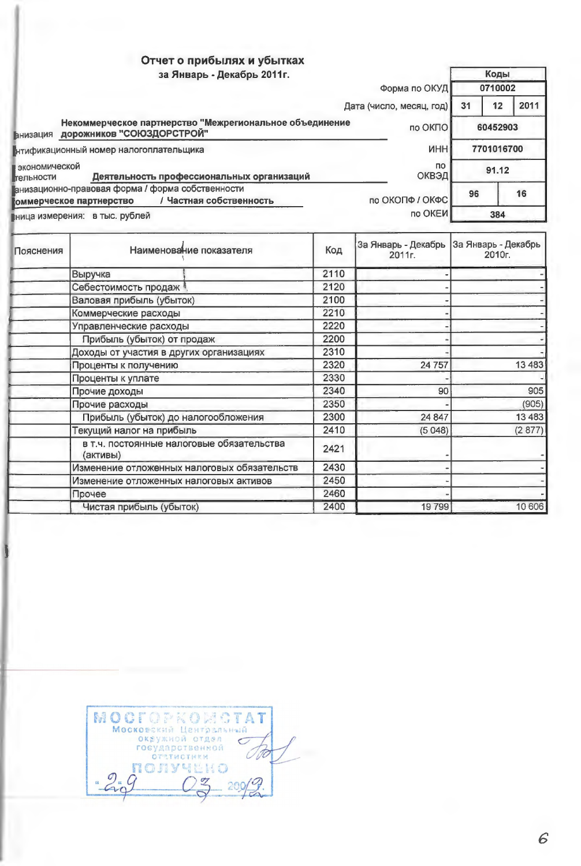## Отчет о прибылях и убытках

| за Январь - Декабрь 2011г.                                                                                                  |    | Коды       |      |
|-----------------------------------------------------------------------------------------------------------------------------|----|------------|------|
| Форма по ОКУД                                                                                                               |    | 0710002    |      |
| Дата (число, месяц, год)                                                                                                    | 31 | 12         | 2011 |
| Некоммерческое партнерство "Межрегиональное объединение<br>по ОКПО<br>дорожников "СОЮЗДОРСТРОЙ"<br><b>Внизация</b>          |    | 60452903   |      |
| <b>UHH</b><br>итификационный номер налогоплательщика                                                                        |    | 7701016700 |      |
| • экономической<br>ΠO.<br>ОКВЭД<br>Деятельность профессиональных организаций<br>Грельности                                  |    | 91.12      |      |
| Ганизационно-правовая форма / форма собственности<br>по ОКОПФ / ОКФС<br>/ Частная собственность<br>коммерческое партнерство | 96 | 16         |      |
| по ОКЕИ<br>ница измерения: в тыс. рублей                                                                                    |    | 384        |      |

| Пояснения | Наименование показателя                               | Код  | 2011г.   | За Январь - Декабрь   За Январь - Декабрь<br>2010г. |
|-----------|-------------------------------------------------------|------|----------|-----------------------------------------------------|
|           | Выручка                                               | 2110 |          |                                                     |
|           | Себестоимость продаж                                  | 2120 |          |                                                     |
|           | Валовая прибыль (убыток)                              | 2100 |          |                                                     |
|           | Коммерческие расходы                                  | 2210 |          |                                                     |
|           | Управленческие расходы                                | 2220 |          |                                                     |
|           | Прибыль (убыток) от продаж                            | 2200 |          |                                                     |
|           | Доходы от участия в других организациях               | 2310 |          |                                                     |
|           | Проценты к получению                                  | 2320 | 24 7 5 7 | 13 4 83                                             |
|           | Проценты к уплате                                     | 2330 |          |                                                     |
|           | Прочие доходы                                         | 2340 | 90       | 905                                                 |
|           | Прочие расходы                                        | 2350 |          | (905)                                               |
|           | Прибыль (убыток) до налогообложения                   | 2300 | 24 847   | 13 4 8 3                                            |
|           | Текущий налог на прибыль                              | 2410 | (5048)   | (2877)                                              |
|           | в т.ч. постоянные налоговые обязательства<br>(активы) | 2421 |          |                                                     |
|           | Изменение отложенных налоговых обязательств           | 2430 |          |                                                     |
|           | Изменение отложенных налоговых активов                | 2450 |          |                                                     |
|           | Прочее                                                | 2460 |          |                                                     |
|           | Чистая прибыль (убыток)                               | 2400 | 19799    | 10 606                                              |